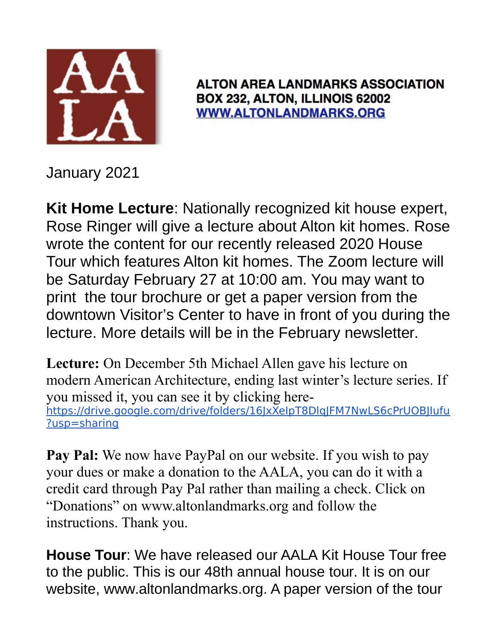

**ALTON AREA LANDMARKS ASSOCIATION** BOX 232, ALTON, ILLINOIS 62002 **WWW.ALTONLANDMARKS.ORG** 

January 2021

**Kit Home Lecture**: Nationally recognized kit house expert, Rose Ringer will give a lecture about Alton kit homes. Rose wrote the content for our recently released 2020 House Tour which features Alton kit homes. The Zoom lecture will be Saturday February 27 at 10:00 am. You may want to print the tour brochure or get a paper version from the downtown Visitor's Center to have in front of you during the lecture. More details will be in the February newsletter.

**Lecture:** On December 5th Michael Allen gave his lecture on modern American Architecture, ending last winter's lecture series. If you missed it, you can see it by clicking herehttps://drive.google.com/drive/folders/16JxXeIpT8DlqJFM7NwLS6cPrUOBJIufu ?usp=sharing

**Pay Pal:** We now have PayPal on our website. If you wish to pay your dues or make a donation to the AALA, you can do it with a credit card through Pay Pal rather than mailing a check. Click on "Donations" on www.altonlandmarks.org and follow the instructions. Thank you.

**House Tour**: We have released our AALA Kit House Tour free to the public. This is our 48th annual house tour. It is on our website, www.altonlandmarks.org. A paper version of the tour